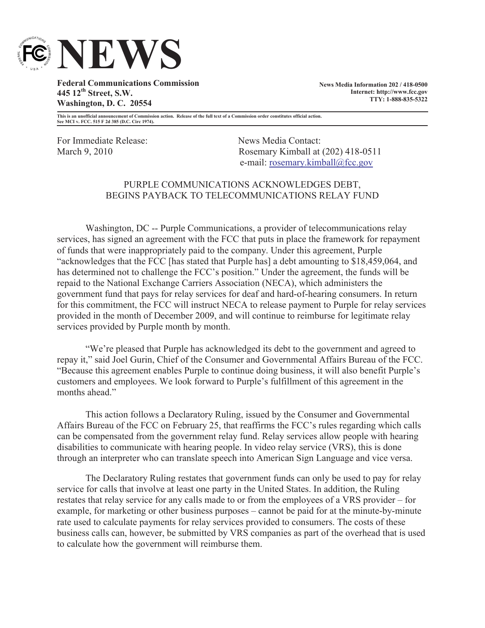

**Federal Communications Commission 445 12th Street, S.W. Washington, D. C. 20554**

**News Media Information 202 / 418-0500 Internet: http://www.fcc.gov TTY: 1-888-835-5322**

**This is an unofficial announcement of Commission action. Release of the full text of a Commission order constitutes official action. See MCI v. FCC. 515 F 2d 385 (D.C. Circ 1974).**

For Immediate Release: News Media Contact:

March 9, 2010 Rosemary Kimball at (202) 418-0511 e-mail: rosemary.kimball@fcc.gov

## PURPLE COMMUNICATIONS ACKNOWLEDGES DEBT, BEGINS PAYBACK TO TELECOMMUNICATIONS RELAY FUND

Washington, DC -- Purple Communications, a provider of telecommunications relay services, has signed an agreement with the FCC that puts in place the framework for repayment of funds that were inappropriately paid to the company. Under this agreement, Purple "acknowledges that the FCC [has stated that Purple has] a debt amounting to \$18,459,064, and has determined not to challenge the FCC's position." Under the agreement, the funds will be repaid to the National Exchange Carriers Association (NECA), which administers the government fund that pays for relay services for deaf and hard-of-hearing consumers. In return for this commitment, the FCC will instruct NECA to release payment to Purple for relay services provided in the month of December 2009, and will continue to reimburse for legitimate relay services provided by Purple month by month.

"We're pleased that Purple has acknowledged its debt to the government and agreed to repay it," said Joel Gurin, Chief of the Consumer and Governmental Affairs Bureau of the FCC. "Because this agreement enables Purple to continue doing business, it will also benefit Purple's customers and employees. We look forward to Purple's fulfillment of this agreement in the months ahead."

This action follows a Declaratory Ruling, issued by the Consumer and Governmental Affairs Bureau of the FCC on February 25, that reaffirms the FCC's rules regarding which calls can be compensated from the government relay fund. Relay services allow people with hearing disabilities to communicate with hearing people. In video relay service (VRS), this is done through an interpreter who can translate speech into American Sign Language and vice versa.

The Declaratory Ruling restates that government funds can only be used to pay for relay service for calls that involve at least one party in the United States. In addition, the Ruling restates that relay service for any calls made to or from the employees of a VRS provider – for example, for marketing or other business purposes – cannot be paid for at the minute-by-minute rate used to calculate payments for relay services provided to consumers. The costs of these business calls can, however, be submitted by VRS companies as part of the overhead that is used to calculate how the government will reimburse them.